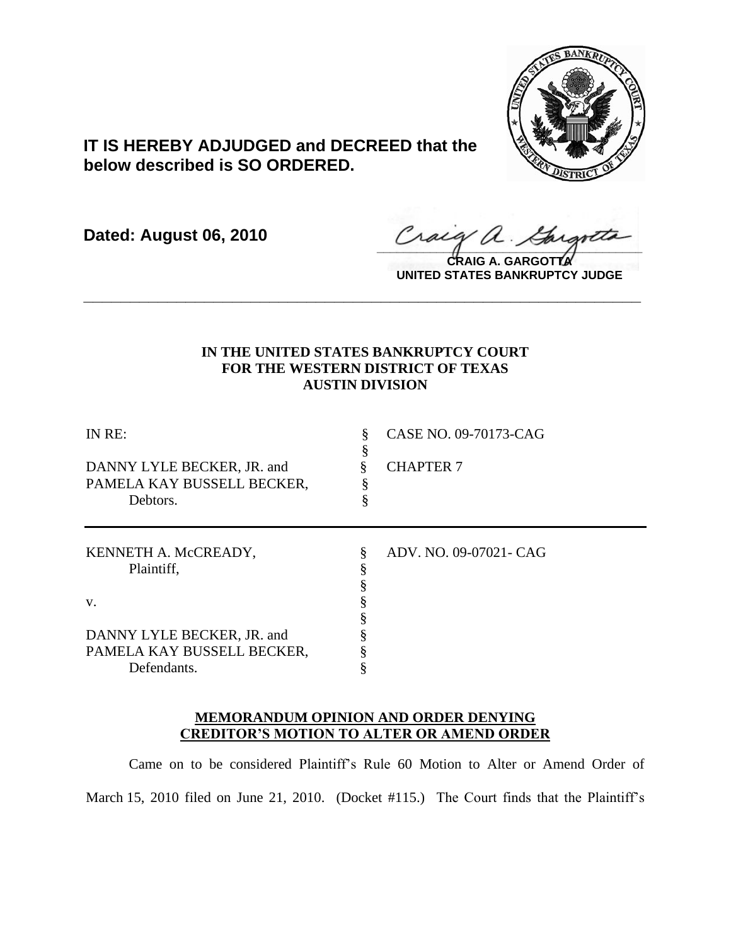

# **IT IS HEREBY ADJUDGED and DECREED that the below described is SO ORDERED.**

**Dated: August 06, 2010**

Craeg a. Gargote

**CRAIG A. GARGOTTA UNITED STATES BANKRUPTCY JUDGE**

# **IN THE UNITED STATES BANKRUPTCY COURT FOR THE WESTERN DISTRICT OF TEXAS AUSTIN DIVISION**

**\_\_\_\_\_\_\_\_\_\_\_\_\_\_\_\_\_\_\_\_\_\_\_\_\_\_\_\_\_\_\_\_\_\_\_\_\_\_\_\_\_\_\_\_\_\_\_\_\_\_\_\_\_\_\_\_\_\_\_\_**

| IN RE:                     |   | CASE NO. 09-70173-CAG  |
|----------------------------|---|------------------------|
| DANNY LYLE BECKER, JR. and |   | <b>CHAPTER 7</b>       |
| PAMELA KAY BUSSELL BECKER, |   |                        |
| Debtors.                   |   |                        |
|                            |   |                        |
| KENNETH A. McCREADY,       | § | ADV. NO. 09-07021- CAG |
| Plaintiff,                 |   |                        |
|                            |   |                        |
| V.                         |   |                        |
|                            |   |                        |
| DANNY LYLE BECKER, JR. and |   |                        |
| PAMELA KAY BUSSELL BECKER, |   |                        |
| Defendants.                |   |                        |

## **MEMORANDUM OPINION AND ORDER DENYING CREDITOR'S MOTION TO ALTER OR AMEND ORDER**

Came on to be considered Plaintiff"s Rule 60 Motion to Alter or Amend Order of March 15, 2010 filed on June 21, 2010. (Docket #115.) The Court finds that the Plaintiff's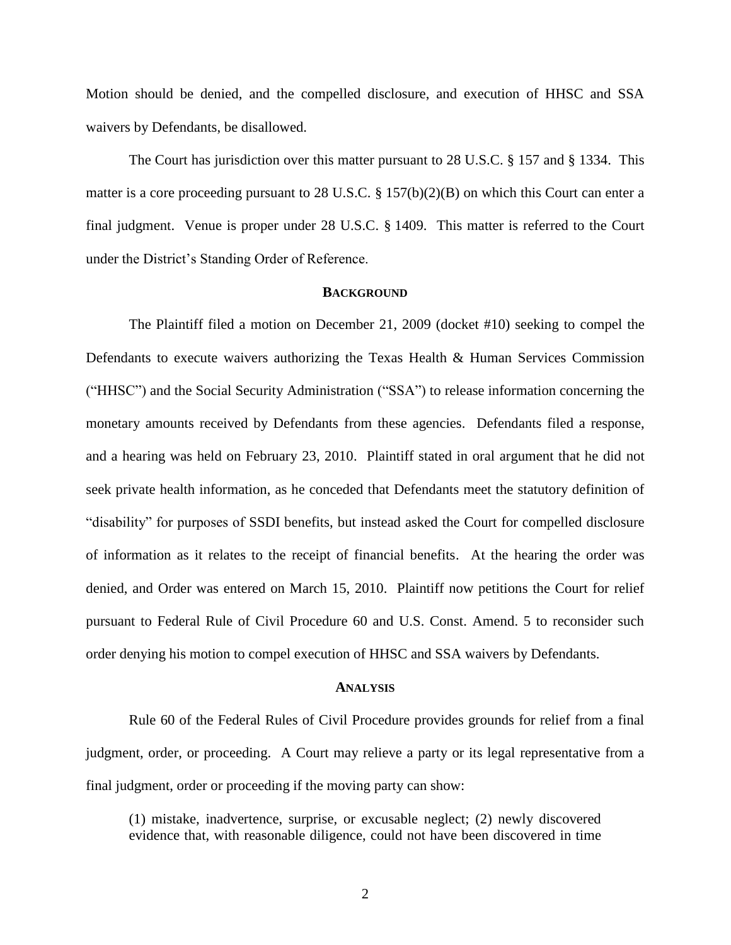Motion should be denied, and the compelled disclosure, and execution of HHSC and SSA waivers by Defendants, be disallowed.

The Court has jurisdiction over this matter pursuant to 28 U.S.C. § 157 and § 1334. This matter is a core proceeding pursuant to 28 U.S.C. § 157(b)(2)(B) on which this Court can enter a final judgment. Venue is proper under 28 U.S.C. § 1409. This matter is referred to the Court under the District"s Standing Order of Reference.

### **BACKGROUND**

The Plaintiff filed a motion on December 21, 2009 (docket #10) seeking to compel the Defendants to execute waivers authorizing the Texas Health & Human Services Commission ("HHSC") and the Social Security Administration ("SSA") to release information concerning the monetary amounts received by Defendants from these agencies. Defendants filed a response, and a hearing was held on February 23, 2010. Plaintiff stated in oral argument that he did not seek private health information, as he conceded that Defendants meet the statutory definition of "disability" for purposes of SSDI benefits, but instead asked the Court for compelled disclosure of information as it relates to the receipt of financial benefits. At the hearing the order was denied, and Order was entered on March 15, 2010. Plaintiff now petitions the Court for relief pursuant to Federal Rule of Civil Procedure 60 and U.S. Const. Amend. 5 to reconsider such order denying his motion to compel execution of HHSC and SSA waivers by Defendants.

#### **ANALYSIS**

Rule 60 of the Federal Rules of Civil Procedure provides grounds for relief from a final judgment, order, or proceeding. A Court may relieve a party or its legal representative from a final judgment, order or proceeding if the moving party can show:

(1) mistake, inadvertence, surprise, or excusable neglect; (2) newly discovered evidence that, with reasonable diligence, could not have been discovered in time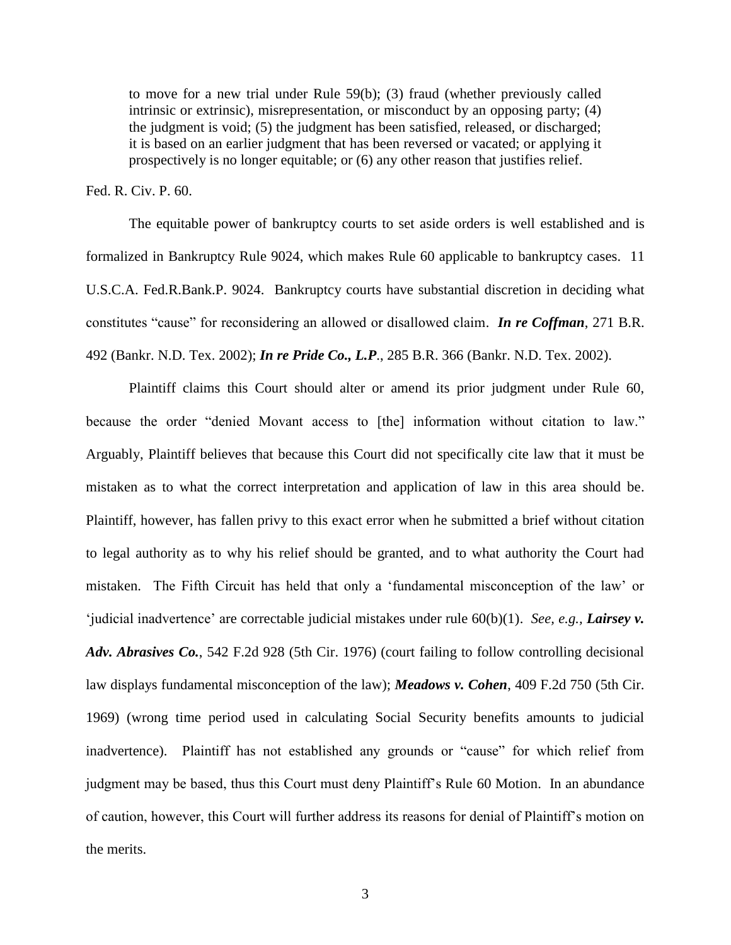to move for a new trial under Rule 59(b); (3) fraud (whether previously called intrinsic or extrinsic), misrepresentation, or misconduct by an opposing party; (4) the judgment is void; (5) the judgment has been satisfied, released, or discharged; it is based on an earlier judgment that has been reversed or vacated; or applying it prospectively is no longer equitable; or (6) any other reason that justifies relief.

### Fed. R. Civ. P. 60.

The equitable power of bankruptcy courts to set aside orders is well established and is formalized in Bankruptcy Rule 9024, which makes Rule 60 applicable to bankruptcy cases. 11 U.S.C.A. Fed.R.Bank.P. 9024. Bankruptcy courts have substantial discretion in deciding what constitutes "cause" for reconsidering an allowed or disallowed claim. *In re Coffman*, 271 B.R. 492 (Bankr. N.D. Tex. 2002); *In re Pride Co., L.P*., 285 B.R. 366 (Bankr. N.D. Tex. 2002).

Plaintiff claims this Court should alter or amend its prior judgment under Rule 60, because the order "denied Movant access to [the] information without citation to law." Arguably, Plaintiff believes that because this Court did not specifically cite law that it must be mistaken as to what the correct interpretation and application of law in this area should be. Plaintiff, however, has fallen privy to this exact error when he submitted a brief without citation to legal authority as to why his relief should be granted, and to what authority the Court had mistaken. The Fifth Circuit has held that only a "fundamental misconception of the law" or 'judicial inadvertence' are correctable judicial mistakes under rule 60(b)(1). *See, e.g., Lairsey v. Adv. Abrasives Co.*, 542 F.2d 928 (5th Cir. 1976) (court failing to follow controlling decisional law displays fundamental misconception of the law); *Meadows v. Cohen*, 409 F.2d 750 (5th Cir. 1969) (wrong time period used in calculating Social Security benefits amounts to judicial inadvertence). Plaintiff has not established any grounds or "cause" for which relief from judgment may be based, thus this Court must deny Plaintiff"s Rule 60 Motion. In an abundance of caution, however, this Court will further address its reasons for denial of Plaintiff"s motion on the merits.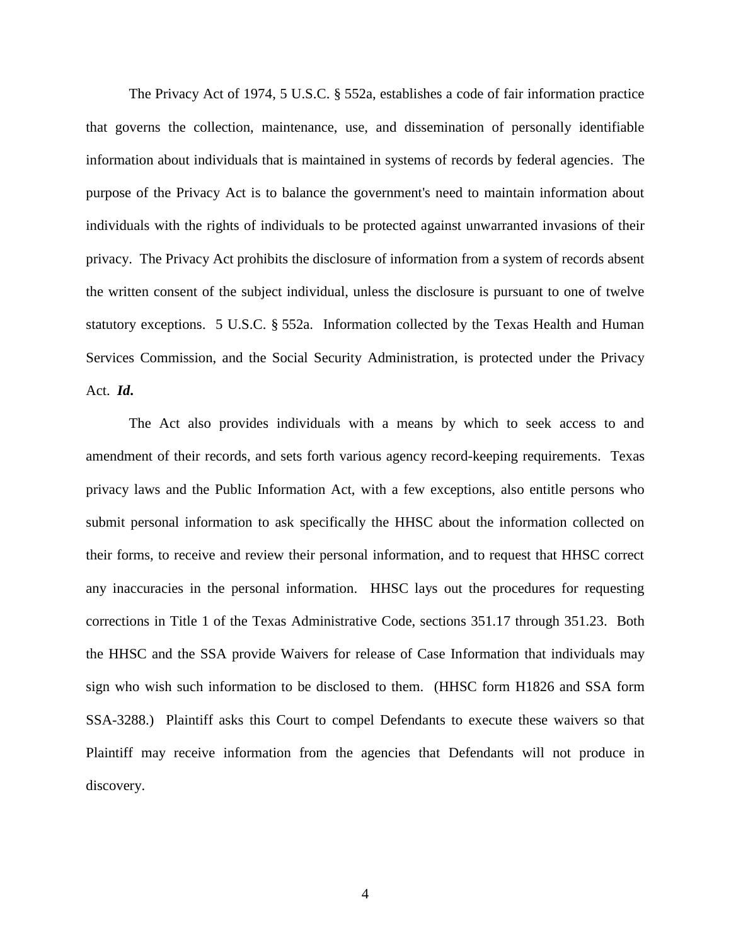The Privacy Act of 1974, 5 U.S.C. § 552a, establishes a [code of fair information practice](http://en.wikipedia.org/w/index.php?title=Code_of_Fair_Information_Practice&action=edit&redlink=1) that governs the collection, maintenance, use, and dissemination of personally identifiable information about individuals that is maintained in systems of records by federal agencies. The purpose of the Privacy Act is to balance the government's need to maintain information about individuals with the rights of individuals to be protected against unwarranted invasions of their privacy. The Privacy Act prohibits the disclosure of information from a system of records absent the written consent of the subject individual, unless the disclosure is pursuant to one of twelve statutory exceptions. 5 U.S.C. § 552a. Information collected by the Texas Health and Human Services Commission, and the Social Security Administration, is protected under the Privacy Act. *Id***.**

The Act also provides individuals with a means by which to seek access to and amendment of their records, and sets forth various agency record-keeping requirements. Texas privacy laws and the Public Information Act, with a few exceptions, also entitle persons who submit personal information to ask specifically the HHSC about the information collected on their forms, to receive and review their personal information, and to request that HHSC correct any inaccuracies in the personal information. HHSC lays out the procedures for requesting corrections in Title 1 of the Texas Administrative Code, sections 351.17 through 351.23. Both the HHSC and the SSA provide Waivers for release of Case Information that individuals may sign who wish such information to be disclosed to them. (HHSC form H1826 and SSA form SSA-3288.) Plaintiff asks this Court to compel Defendants to execute these waivers so that Plaintiff may receive information from the agencies that Defendants will not produce in discovery.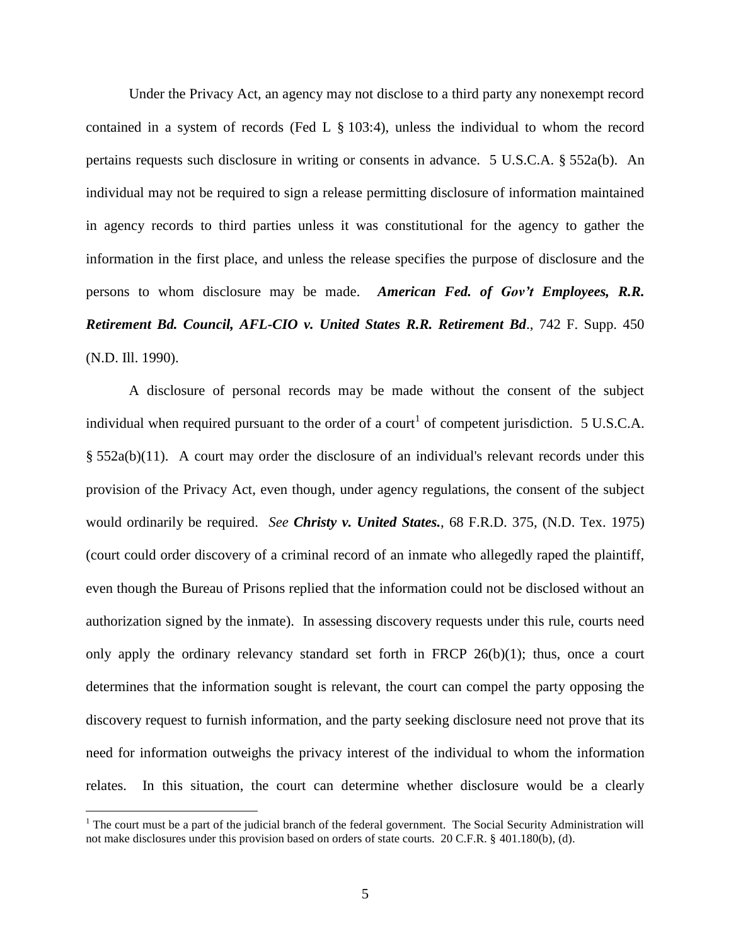Under the Privacy Act, an agency may not disclose to a third party any nonexempt record contained in a system of records (Fed L § 103:4), unless the individual to whom the record pertains requests such disclosure in writing or consents in advance. 5 U.S.C.A. § 552a(b). An individual may not be required to sign a release permitting disclosure of information maintained in agency records to third parties unless it was constitutional for the agency to gather the information in the first place, and unless the release specifies the purpose of disclosure and the persons to whom disclosure may be made. *American Fed. of Gov't Employees, R.R. Retirement Bd. Council, AFL-CIO v. United States R.R. Retirement Bd*., 742 F. Supp. 450 (N.D. Ill. 1990).

A disclosure of personal records may be made without the consent of the subject individual when required pursuant to the order of a court<sup>1</sup> of competent jurisdiction. 5 U.S.C.A. § 552a(b)(11). A court may order the disclosure of an individual's relevant records under this provision of the Privacy Act, even though, under agency regulations, the consent of the subject would ordinarily be required. *See Christy v. United States.*, 68 F.R.D. 375, (N.D. Tex. 1975) (court could order discovery of a criminal record of an inmate who allegedly raped the plaintiff, even though the Bureau of Prisons replied that the information could not be disclosed without an authorization signed by the inmate). In assessing discovery requests under this rule, courts need only apply the ordinary relevancy standard set forth in FRCP 26(b)(1); thus, once a court determines that the information sought is relevant, the court can compel the party opposing the discovery request to furnish information, and the party seeking disclosure need not prove that its need for information outweighs the privacy interest of the individual to whom the information relates. In this situation, the court can determine whether disclosure would be a clearly

 $\overline{a}$ 

<sup>&</sup>lt;sup>1</sup> The court must be a part of the judicial branch of the federal government. The Social Security Administration will not make disclosures under this provision based on orders of state courts. 20 C.F.R. § 401.180(b), (d).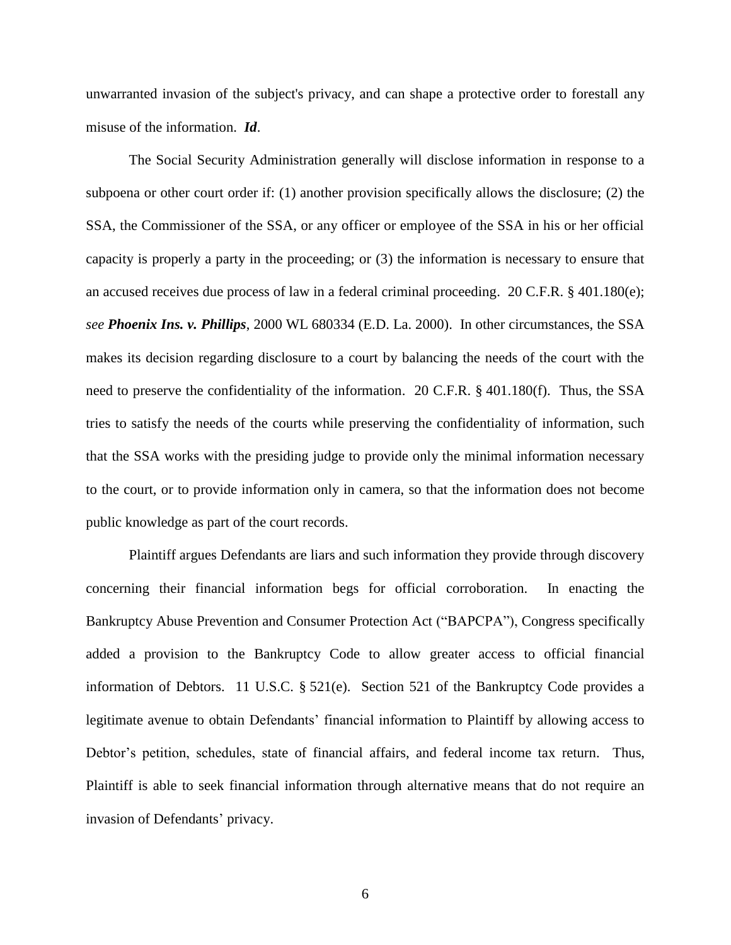unwarranted invasion of the subject's privacy, and can shape a protective order to forestall any misuse of the information. *Id*.

The Social Security Administration generally will disclose information in response to a subpoena or other court order if: (1) another provision specifically allows the disclosure; (2) the SSA, the Commissioner of the SSA, or any officer or employee of the SSA in his or her official capacity is properly a party in the proceeding; or (3) the information is necessary to ensure that an accused receives due process of law in a federal criminal proceeding. 20 C.F.R. § 401.180(e); *see Phoenix Ins. v. Phillips*, 2000 WL 680334 (E.D. La. 2000). In other circumstances, the SSA makes its decision regarding disclosure to a court by balancing the needs of the court with the need to preserve the confidentiality of the information. 20 C.F.R. § 401.180(f). Thus, the SSA tries to satisfy the needs of the courts while preserving the confidentiality of information, such that the SSA works with the presiding judge to provide only the minimal information necessary to the court, or to provide information only in camera, so that the information does not become public knowledge as part of the court records.

Plaintiff argues Defendants are liars and such information they provide through discovery concerning their financial information begs for official corroboration. In enacting the Bankruptcy Abuse Prevention and Consumer Protection Act ("BAPCPA"), Congress specifically added a provision to the Bankruptcy Code to allow greater access to official financial information of Debtors. 11 U.S.C. § 521(e). Section 521 of the Bankruptcy Code provides a legitimate avenue to obtain Defendants' financial information to Plaintiff by allowing access to Debtor's petition, schedules, state of financial affairs, and federal income tax return. Thus, Plaintiff is able to seek financial information through alternative means that do not require an invasion of Defendants' privacy.